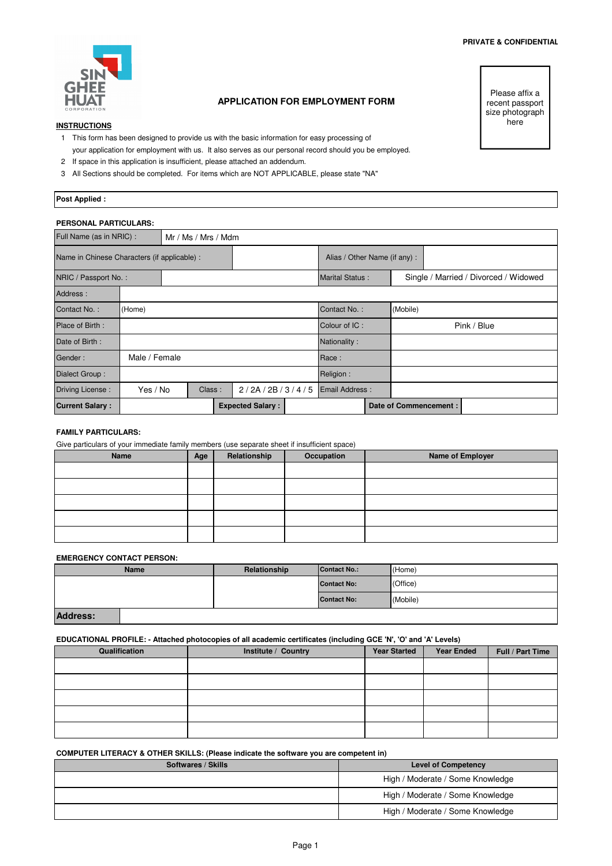

# **APPLICATION FOR EMPLOYMENT FORM**

### **INSTRUCTIONS**

- 1 This form has been designed to provide us with the basic information for easy processing of your application for employment with us. It also serves as our personal record should you be employed.
- 2 If space in this application is insufficient, please attached an addendum.
- 3 All Sections should be completed. For items which are NOT APPLICABLE, please state "NA"

Please affix a recent passport size photograph here

# **Post Applied :**

# **PERSONAL PARTICULARS:**

| Full Name (as in NRIC) : |                                              | Mr / Ms / Mrs / Mdm |  |                              |  |                        |                       |  |             |                                       |
|--------------------------|----------------------------------------------|---------------------|--|------------------------------|--|------------------------|-----------------------|--|-------------|---------------------------------------|
|                          | Name in Chinese Characters (if applicable) : |                     |  | Alias / Other Name (if any): |  |                        |                       |  |             |                                       |
| NRIC / Passport No.:     |                                              |                     |  |                              |  | <b>Marital Status:</b> |                       |  |             | Single / Married / Divorced / Widowed |
| Address:                 |                                              |                     |  |                              |  |                        |                       |  |             |                                       |
| Contact No.:             | (Home)                                       |                     |  | Contact No.:                 |  | (Mobile)               |                       |  |             |                                       |
| Place of Birth:          |                                              |                     |  |                              |  | Colour of IC:          |                       |  | Pink / Blue |                                       |
| Date of Birth:           |                                              |                     |  |                              |  | Nationality:           |                       |  |             |                                       |
| Gender:                  | Male / Female                                |                     |  |                              |  | Race:                  |                       |  |             |                                       |
| Dialect Group:           |                                              |                     |  | Religion:                    |  |                        |                       |  |             |                                       |
| Driving License:         | Yes / No                                     | Class:              |  | 2/2A/2B/3/4/5                |  | <b>Email Address:</b>  |                       |  |             |                                       |
| <b>Current Salary:</b>   | <b>Expected Salary:</b>                      |                     |  |                              |  |                        | Date of Commencement: |  |             |                                       |

### **FAMILY PARTICULARS:**

Give particulars of your immediate family members (use separate sheet if insufficient space)

| Name | Age | Relationship | Occupation | <b>Name of Employer</b> |
|------|-----|--------------|------------|-------------------------|
|      |     |              |            |                         |
|      |     |              |            |                         |
|      |     |              |            |                         |
|      |     |              |            |                         |
|      |     |              |            |                         |

### **EMERGENCY CONTACT PERSON:**

|                 | <b>Name</b> | Relationship | Contact No.:       | (Home)   |
|-----------------|-------------|--------------|--------------------|----------|
|                 |             |              | <b>Contact No:</b> | (Office) |
|                 |             |              | <b>Contact No:</b> | (Mobile) |
| <b>Address:</b> |             |              |                    |          |

### **EDUCATIONAL PROFILE: - Attached photocopies of all academic certificates (including GCE 'N', 'O' and 'A' Levels)**

| Qualification | Institute / Country | <b>Year Started</b> | <b>Year Ended</b> | Full / Part Time |
|---------------|---------------------|---------------------|-------------------|------------------|
|               |                     |                     |                   |                  |
|               |                     |                     |                   |                  |
|               |                     |                     |                   |                  |
|               |                     |                     |                   |                  |
|               |                     |                     |                   |                  |

### **COMPUTER LITERACY & OTHER SKILLS: (Please indicate the software you are competent in)**

| Softwares / Skills | <b>Level of Competency</b>       |
|--------------------|----------------------------------|
|                    | High / Moderate / Some Knowledge |
|                    | High / Moderate / Some Knowledge |
|                    | High / Moderate / Some Knowledge |